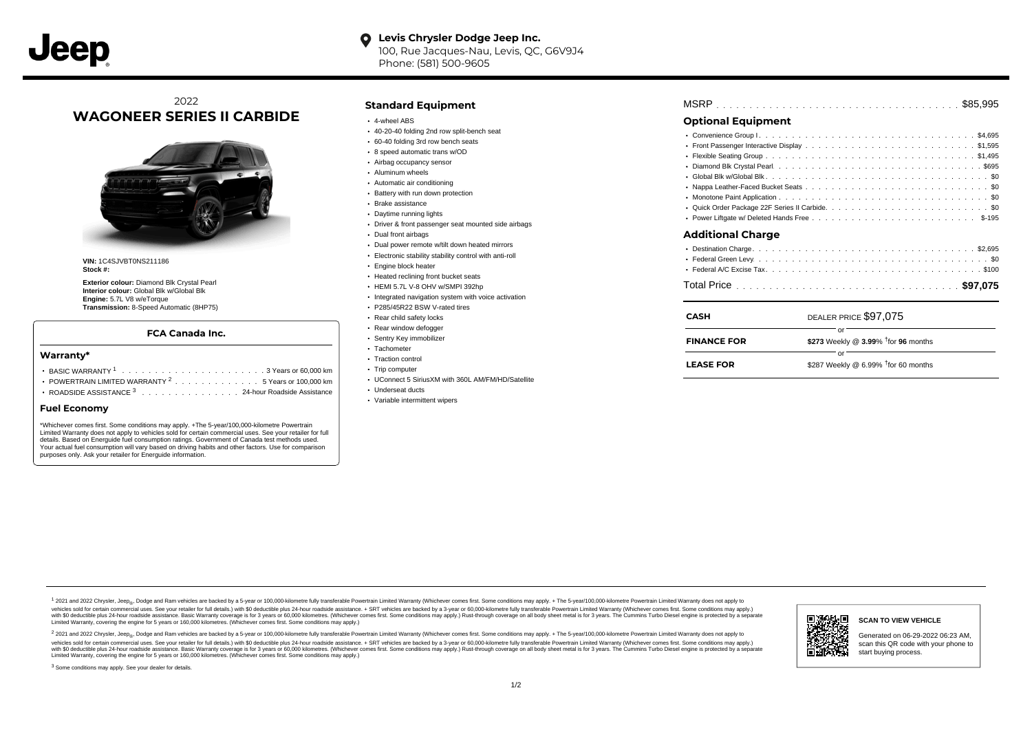**Levis Chrysler Dodge Jeep Inc.**  $\bullet$ 100, Rue Jacques-Nau, Levis, QC, G6V9J4 Phone: (581) 500-9605

## 2022 **WAGONEER SERIES II CARBIDE**



**VIN:** 1C4SJVBT0NS211186 **Stock #:**

**Exterior colour:** Diamond Blk Crystal Pearl **Interior colour:** Global Blk w/Global Blk **Engine:** 5.7L V8 w/eTorque **Transmission:** 8-Speed Automatic (8HP75)

#### **FCA Canada Inc.**

#### **Warranty\***

- . . . . . . . . . . . . . . . . . . . . . . . . . . . . . . . . . . . . . . . . . . . BASIC WARRANTY <sup>1</sup> 3 Years or 60,000 km POWERTRAIN LIMITED WARRANTY  $2 \ldots \ldots \ldots \ldots \ldots 5$  Years or 100,000 km
- ROADSIDE ASSISTANCE 3 . . . . . . . . . . . . . . . 24-hour Roadside Assistance

#### **Fuel Economy**

\*Whichever comes first. Some conditions may apply. +The 5-year/100,000-kilometre Powertrain Limited Warranty does not apply to vehicles sold for certain commercial uses. See your retailer for full details. Based on Energuide fuel consumption ratings. Government of Canada test methods used. Your actual fuel consumption will vary based on driving habits and other factors. Use for comparison purposes only. Ask your retailer for Energuide information.

### **Standard Equipment**

- 4-wheel ABS
- 40-20-40 folding 2nd row split-bench seat
- 60-40 folding 3rd row bench seats
- 8 speed automatic trans w/OD
- Airbag occupancy sensor
- Aluminum wheels
- Automatic air conditioning • Battery with run down protection
- Brake assistance
- 
- Daytime running lights
- Driver & front passenger seat mounted side airbags
- Dual front airbags
- Dual power remote w/tilt down heated mirrors
- Electronic stability stability control with anti-roll
- Engine block heater
- Heated reclining front bucket seats
- HEMI 5.7L V-8 OHV w/SMPI 392hp
- Integrated navigation system with voice activation
- P285/45R22 BSW V-rated tires
- Rear child safety locks
- Rear window defogger
- Sentry Key immobilizer • Tachometer
- Traction control
- Trip computer
- UConnect 5 SiriusXM with 360L AM/FM/HD/Satellite
- Underseat ducts
- Variable intermittent wipers

. . . . . . . . . . . . . . . . . . . . . . . . . . . . . . . . . . . . . . . . . . . . . . Flexible Seating Group \$1,495 . . . . . . . . . . . . . . . . . . . . . . . . . . . . . . . . . . . . . . . . . . . . . . Diamond Blk Crystal Pearl \$695 . . . . . . . . . . . . . . . . . . . . . . . . . . . . . . . . . . . . . . . . . . . . . . Global Blk w/Global Blk \$0 Nappa Leather-Faced Bucket Seats .............................. . . . . . . . . . . . . . . . . . . . . . . . . . . . . . . . . . . . . . . . . . . . . . . Monotone Paint Application \$0 . . . . . . . . . . . . . . . . . . . . . . . . . . . . . . . . . . . . . . . . . . . . . . Quick Order Package 22F Series II Carbide \$0 . . . . . . . . . . . . . . . . . . . . . . . . . . . . . . . . . . . . . . . . . . . . . . Power Liftgate w/ Deleted Hands Free \$-195 . . . . . . . . . . . . . . . . . . . . . . . . . . . . . . . . . . . . . . . . . . . . . . Destination Charge \$2,695 . . . . . . . . . . . . . . . . . . . . . . . . . . . . . . . . . . . . . . . . . . . . . . Federal Green Levy \$0 . . . . . . . . . . . . . . . . . . . . . . . . . . . . . . . . . . . . . . . . . . . . . . Federal A/C Excise Tax \$100 . . . . . . . . . . . . . . . . . . . . . . . . . . . . . . . . . . . . . . . . . . . . . . Total Price **\$97,075 Additional Charge** DEALER PRICE \$97,075 **\$273** Weekly @ 3.99% <sup>†</sup> for 96 months **CASH** or **FINANCE FOR**

 $-$  or  $-$ 

 $$287$  Weekly @ 6.99%  $<sup>†</sup>$  for 60 months</sup>

. . . . . . . . . . . . . . . . . . . . . . . . . . . . . . . . . . . . . . . . . . . . . . MSRP \$85,995

**Optional Equipment**

**LEASE FOR**

. . . . . . . . . . . . . . . . . . . . . . . . . . . . . . . . . . . . . . . . . . . . . . Convenience Group I \$4,695 Front Passenger Interactive Display .............................\$1,595

1 2021 and 2022 Chrysler, Jeep<sub>en</sub> Dodge and Ram vehicles are backed by a 5-year or 100,000-kilometre fully transferable Powertrain Limited Warranty (Whichever comes first. Some conditions may apply. + The 5-year/100,000-k vehicles sold for certain commercial uses. See your retailer for full details.) with \$0 deductible plus 24-hour madside assistance. + SRT vehicles are backed by a 3-year or 60.000-kilometre fully transferable Powertrain Li ventals and contract when the contract when the contract you contract when the contract when the control of the set of a set of a set of a set of 3 years of 60,000 kilometres. Whichever comes first. Some conditions may app Limited Warranty, covering the engine for 5 years or 160,000 kilometres. (Whichever comes first. Some conditions may apply.)

2 2021 and 2022 Chrysler, Jeep<sub>es</sub> Dodge and Ram vehicles are backed by a 5-year or 100,000-kilometre fully transferable Powertrain Limited Warranty (Whichever comes first. Some conditions may apply. + The 5-year/100,000-k vehicles sold for certain commercial uses. See your retailer for full details.) with SO deductible plus 24-hour roadside assistance. + SRT vehicles are backed by a 3-year or 60.000-kilometre fully transferable Powertrain L with S0 deductible plus 24-hour roadside assistance. Basic Warranty coverage is for 3 years or 60,000 kilometres. (Whichever comes first. Some conditions may apply.) Rust-through coverage on all body sheet metal is for 3 y . m **SCAN TO VIEW VEHICLE** Generated on 06-29-2022 06:23 AM, scan this QR code with your phone to start buying process.

<sup>3</sup> Some conditions may apply. See your dealer for details.